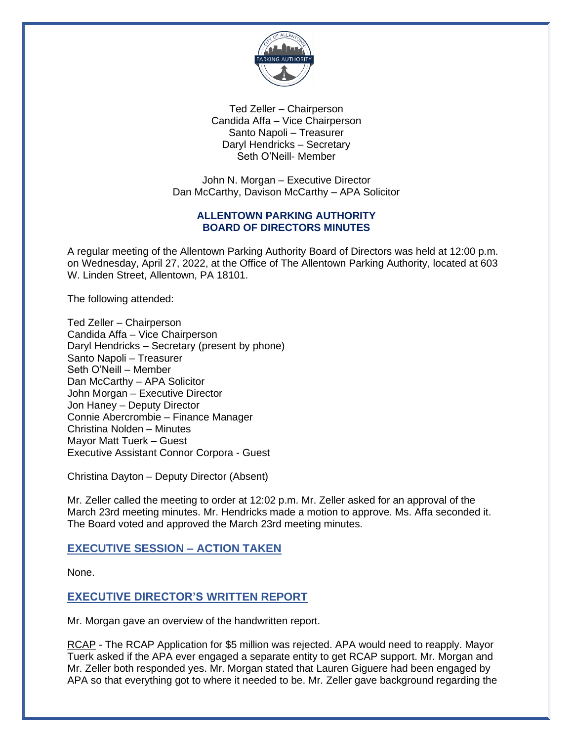

Ted Zeller – Chairperson Candida Affa – Vice Chairperson Santo Napoli – Treasurer Daryl Hendricks – Secretary Seth O'Neill- Member

John N. Morgan – Executive Director Dan McCarthy, Davison McCarthy – APA Solicitor

### **ALLENTOWN PARKING AUTHORITY BOARD OF DIRECTORS MINUTES**

A regular meeting of the Allentown Parking Authority Board of Directors was held at 12:00 p.m. on Wednesday, April 27, 2022, at the Office of The Allentown Parking Authority, located at 603 W. Linden Street, Allentown, PA 18101.

The following attended:

Ted Zeller – Chairperson Candida Affa – Vice Chairperson Daryl Hendricks – Secretary (present by phone) Santo Napoli – Treasurer Seth O'Neill – Member Dan McCarthy – APA Solicitor John Morgan – Executive Director Jon Haney – Deputy Director Connie Abercrombie – Finance Manager Christina Nolden – Minutes Mayor Matt Tuerk – Guest Executive Assistant Connor Corpora - Guest

Christina Dayton – Deputy Director (Absent)

Mr. Zeller called the meeting to order at 12:02 p.m. Mr. Zeller asked for an approval of the March 23rd meeting minutes. Mr. Hendricks made a motion to approve. Ms. Affa seconded it. The Board voted and approved the March 23rd meeting minutes.

## **EXECUTIVE SESSION – ACTION TAKEN**

None.

# **EXECUTIVE DIRECTOR'S WRITTEN REPORT**

Mr. Morgan gave an overview of the handwritten report.

RCAP - The RCAP Application for \$5 million was rejected. APA would need to reapply. Mayor Tuerk asked if the APA ever engaged a separate entity to get RCAP support. Mr. Morgan and Mr. Zeller both responded yes. Mr. Morgan stated that Lauren Giguere had been engaged by APA so that everything got to where it needed to be. Mr. Zeller gave background regarding the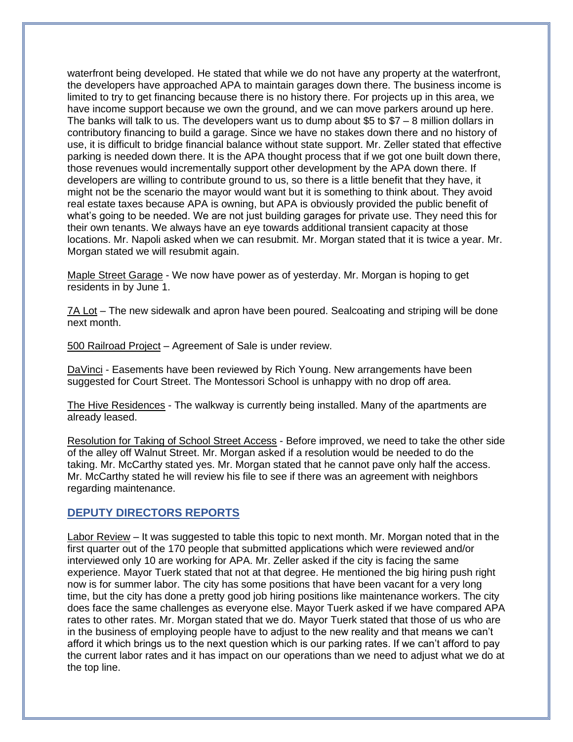waterfront being developed. He stated that while we do not have any property at the waterfront, the developers have approached APA to maintain garages down there. The business income is limited to try to get financing because there is no history there. For projects up in this area, we have income support because we own the ground, and we can move parkers around up here. The banks will talk to us. The developers want us to dump about \$5 to \$7 – 8 million dollars in contributory financing to build a garage. Since we have no stakes down there and no history of use, it is difficult to bridge financial balance without state support. Mr. Zeller stated that effective parking is needed down there. It is the APA thought process that if we got one built down there, those revenues would incrementally support other development by the APA down there. If developers are willing to contribute ground to us, so there is a little benefit that they have, it might not be the scenario the mayor would want but it is something to think about. They avoid real estate taxes because APA is owning, but APA is obviously provided the public benefit of what's going to be needed. We are not just building garages for private use. They need this for their own tenants. We always have an eye towards additional transient capacity at those locations. Mr. Napoli asked when we can resubmit. Mr. Morgan stated that it is twice a year. Mr. Morgan stated we will resubmit again.

Maple Street Garage - We now have power as of yesterday. Mr. Morgan is hoping to get residents in by June 1.

7A Lot – The new sidewalk and apron have been poured. Sealcoating and striping will be done next month.

500 Railroad Project – Agreement of Sale is under review.

DaVinci - Easements have been reviewed by Rich Young. New arrangements have been suggested for Court Street. The Montessori School is unhappy with no drop off area.

The Hive Residences - The walkway is currently being installed. Many of the apartments are already leased.

Resolution for Taking of School Street Access - Before improved, we need to take the other side of the alley off Walnut Street. Mr. Morgan asked if a resolution would be needed to do the taking. Mr. McCarthy stated yes. Mr. Morgan stated that he cannot pave only half the access. Mr. McCarthy stated he will review his file to see if there was an agreement with neighbors regarding maintenance.

### **DEPUTY DIRECTORS REPORTS**

Labor Review – It was suggested to table this topic to next month. Mr. Morgan noted that in the first quarter out of the 170 people that submitted applications which were reviewed and/or interviewed only 10 are working for APA. Mr. Zeller asked if the city is facing the same experience. Mayor Tuerk stated that not at that degree. He mentioned the big hiring push right now is for summer labor. The city has some positions that have been vacant for a very long time, but the city has done a pretty good job hiring positions like maintenance workers. The city does face the same challenges as everyone else. Mayor Tuerk asked if we have compared APA rates to other rates. Mr. Morgan stated that we do. Mayor Tuerk stated that those of us who are in the business of employing people have to adjust to the new reality and that means we can't afford it which brings us to the next question which is our parking rates. If we can't afford to pay the current labor rates and it has impact on our operations than we need to adjust what we do at the top line.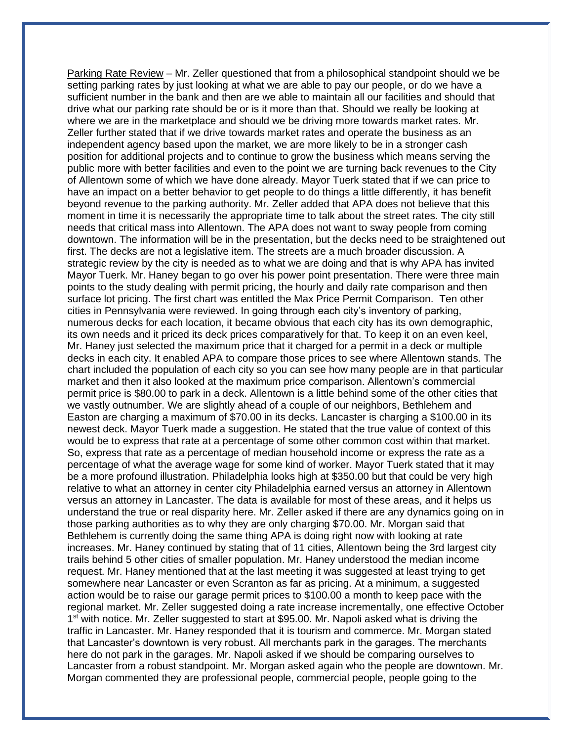Parking Rate Review – Mr. Zeller questioned that from a philosophical standpoint should we be setting parking rates by just looking at what we are able to pay our people, or do we have a sufficient number in the bank and then are we able to maintain all our facilities and should that drive what our parking rate should be or is it more than that. Should we really be looking at where we are in the marketplace and should we be driving more towards market rates. Mr. Zeller further stated that if we drive towards market rates and operate the business as an independent agency based upon the market, we are more likely to be in a stronger cash position for additional projects and to continue to grow the business which means serving the public more with better facilities and even to the point we are turning back revenues to the City of Allentown some of which we have done already. Mayor Tuerk stated that if we can price to have an impact on a better behavior to get people to do things a little differently, it has benefit beyond revenue to the parking authority. Mr. Zeller added that APA does not believe that this moment in time it is necessarily the appropriate time to talk about the street rates. The city still needs that critical mass into Allentown. The APA does not want to sway people from coming downtown. The information will be in the presentation, but the decks need to be straightened out first. The decks are not a legislative item. The streets are a much broader discussion. A strategic review by the city is needed as to what we are doing and that is why APA has invited Mayor Tuerk. Mr. Haney began to go over his power point presentation. There were three main points to the study dealing with permit pricing, the hourly and daily rate comparison and then surface lot pricing. The first chart was entitled the Max Price Permit Comparison. Ten other cities in Pennsylvania were reviewed. In going through each city's inventory of parking, numerous decks for each location, it became obvious that each city has its own demographic, its own needs and it priced its deck prices comparatively for that. To keep it on an even keel, Mr. Haney just selected the maximum price that it charged for a permit in a deck or multiple decks in each city. It enabled APA to compare those prices to see where Allentown stands. The chart included the population of each city so you can see how many people are in that particular market and then it also looked at the maximum price comparison. Allentown's commercial permit price is \$80.00 to park in a deck. Allentown is a little behind some of the other cities that we vastly outnumber. We are slightly ahead of a couple of our neighbors, Bethlehem and Easton are charging a maximum of \$70.00 in its decks. Lancaster is charging a \$100.00 in its newest deck. Mayor Tuerk made a suggestion. He stated that the true value of context of this would be to express that rate at a percentage of some other common cost within that market. So, express that rate as a percentage of median household income or express the rate as a percentage of what the average wage for some kind of worker. Mayor Tuerk stated that it may be a more profound illustration. Philadelphia looks high at \$350.00 but that could be very high relative to what an attorney in center city Philadelphia earned versus an attorney in Allentown versus an attorney in Lancaster. The data is available for most of these areas, and it helps us understand the true or real disparity here. Mr. Zeller asked if there are any dynamics going on in those parking authorities as to why they are only charging \$70.00. Mr. Morgan said that Bethlehem is currently doing the same thing APA is doing right now with looking at rate increases. Mr. Haney continued by stating that of 11 cities, Allentown being the 3rd largest city trails behind 5 other cities of smaller population. Mr. Haney understood the median income request. Mr. Haney mentioned that at the last meeting it was suggested at least trying to get somewhere near Lancaster or even Scranton as far as pricing. At a minimum, a suggested action would be to raise our garage permit prices to \$100.00 a month to keep pace with the regional market. Mr. Zeller suggested doing a rate increase incrementally, one effective October 1<sup>st</sup> with notice. Mr. Zeller suggested to start at \$95.00. Mr. Napoli asked what is driving the traffic in Lancaster. Mr. Haney responded that it is tourism and commerce. Mr. Morgan stated that Lancaster's downtown is very robust. All merchants park in the garages. The merchants here do not park in the garages. Mr. Napoli asked if we should be comparing ourselves to Lancaster from a robust standpoint. Mr. Morgan asked again who the people are downtown. Mr. Morgan commented they are professional people, commercial people, people going to the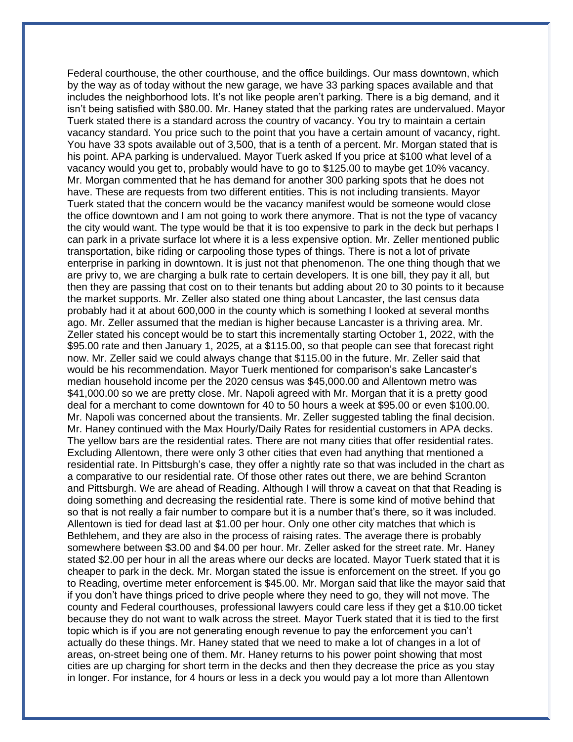Federal courthouse, the other courthouse, and the office buildings. Our mass downtown, which by the way as of today without the new garage, we have 33 parking spaces available and that includes the neighborhood lots. It's not like people aren't parking. There is a big demand, and it isn't being satisfied with \$80.00. Mr. Haney stated that the parking rates are undervalued. Mayor Tuerk stated there is a standard across the country of vacancy. You try to maintain a certain vacancy standard. You price such to the point that you have a certain amount of vacancy, right. You have 33 spots available out of 3,500, that is a tenth of a percent. Mr. Morgan stated that is his point. APA parking is undervalued. Mayor Tuerk asked If you price at \$100 what level of a vacancy would you get to, probably would have to go to \$125.00 to maybe get 10% vacancy. Mr. Morgan commented that he has demand for another 300 parking spots that he does not have. These are requests from two different entities. This is not including transients. Mayor Tuerk stated that the concern would be the vacancy manifest would be someone would close the office downtown and I am not going to work there anymore. That is not the type of vacancy the city would want. The type would be that it is too expensive to park in the deck but perhaps I can park in a private surface lot where it is a less expensive option. Mr. Zeller mentioned public transportation, bike riding or carpooling those types of things. There is not a lot of private enterprise in parking in downtown. It is just not that phenomenon. The one thing though that we are privy to, we are charging a bulk rate to certain developers. It is one bill, they pay it all, but then they are passing that cost on to their tenants but adding about 20 to 30 points to it because the market supports. Mr. Zeller also stated one thing about Lancaster, the last census data probably had it at about 600,000 in the county which is something I looked at several months ago. Mr. Zeller assumed that the median is higher because Lancaster is a thriving area. Mr. Zeller stated his concept would be to start this incrementally starting October 1, 2022, with the \$95.00 rate and then January 1, 2025, at a \$115.00, so that people can see that forecast right now. Mr. Zeller said we could always change that \$115.00 in the future. Mr. Zeller said that would be his recommendation. Mayor Tuerk mentioned for comparison's sake Lancaster's median household income per the 2020 census was \$45,000.00 and Allentown metro was \$41,000.00 so we are pretty close. Mr. Napoli agreed with Mr. Morgan that it is a pretty good deal for a merchant to come downtown for 40 to 50 hours a week at \$95.00 or even \$100.00. Mr. Napoli was concerned about the transients. Mr. Zeller suggested tabling the final decision. Mr. Haney continued with the Max Hourly/Daily Rates for residential customers in APA decks. The yellow bars are the residential rates. There are not many cities that offer residential rates. Excluding Allentown, there were only 3 other cities that even had anything that mentioned a residential rate. In Pittsburgh's case, they offer a nightly rate so that was included in the chart as a comparative to our residential rate. Of those other rates out there, we are behind Scranton and Pittsburgh. We are ahead of Reading. Although I will throw a caveat on that that Reading is doing something and decreasing the residential rate. There is some kind of motive behind that so that is not really a fair number to compare but it is a number that's there, so it was included. Allentown is tied for dead last at \$1.00 per hour. Only one other city matches that which is Bethlehem, and they are also in the process of raising rates. The average there is probably somewhere between \$3.00 and \$4.00 per hour. Mr. Zeller asked for the street rate. Mr. Haney stated \$2.00 per hour in all the areas where our decks are located. Mayor Tuerk stated that it is cheaper to park in the deck. Mr. Morgan stated the issue is enforcement on the street. If you go to Reading, overtime meter enforcement is \$45.00. Mr. Morgan said that like the mayor said that if you don't have things priced to drive people where they need to go, they will not move. The county and Federal courthouses, professional lawyers could care less if they get a \$10.00 ticket because they do not want to walk across the street. Mayor Tuerk stated that it is tied to the first topic which is if you are not generating enough revenue to pay the enforcement you can't actually do these things. Mr. Haney stated that we need to make a lot of changes in a lot of areas, on-street being one of them. Mr. Haney returns to his power point showing that most cities are up charging for short term in the decks and then they decrease the price as you stay in longer. For instance, for 4 hours or less in a deck you would pay a lot more than Allentown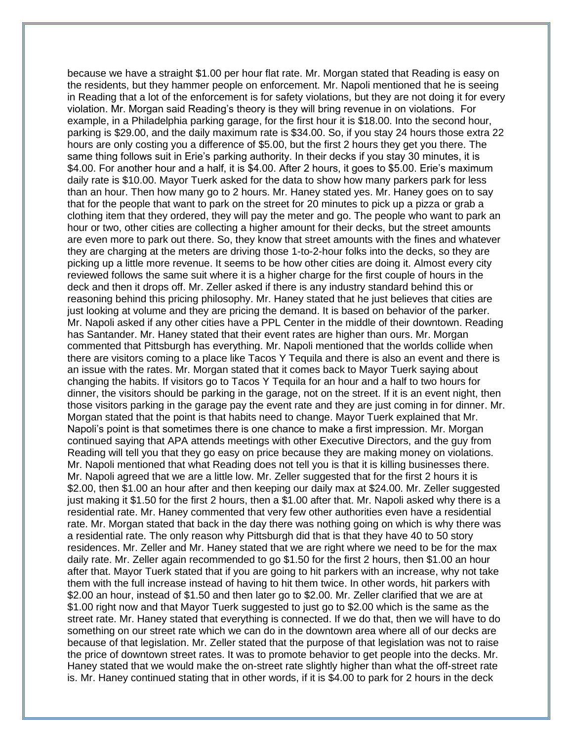because we have a straight \$1.00 per hour flat rate. Mr. Morgan stated that Reading is easy on the residents, but they hammer people on enforcement. Mr. Napoli mentioned that he is seeing in Reading that a lot of the enforcement is for safety violations, but they are not doing it for every violation. Mr. Morgan said Reading's theory is they will bring revenue in on violations. For example, in a Philadelphia parking garage, for the first hour it is \$18.00. Into the second hour, parking is \$29.00, and the daily maximum rate is \$34.00. So, if you stay 24 hours those extra 22 hours are only costing you a difference of \$5.00, but the first 2 hours they get you there. The same thing follows suit in Erie's parking authority. In their decks if you stay 30 minutes, it is \$4.00. For another hour and a half, it is \$4.00. After 2 hours, it goes to \$5.00. Erie's maximum daily rate is \$10.00. Mayor Tuerk asked for the data to show how many parkers park for less than an hour. Then how many go to 2 hours. Mr. Haney stated yes. Mr. Haney goes on to say that for the people that want to park on the street for 20 minutes to pick up a pizza or grab a clothing item that they ordered, they will pay the meter and go. The people who want to park an hour or two, other cities are collecting a higher amount for their decks, but the street amounts are even more to park out there. So, they know that street amounts with the fines and whatever they are charging at the meters are driving those 1-to-2-hour folks into the decks, so they are picking up a little more revenue. It seems to be how other cities are doing it. Almost every city reviewed follows the same suit where it is a higher charge for the first couple of hours in the deck and then it drops off. Mr. Zeller asked if there is any industry standard behind this or reasoning behind this pricing philosophy. Mr. Haney stated that he just believes that cities are just looking at volume and they are pricing the demand. It is based on behavior of the parker. Mr. Napoli asked if any other cities have a PPL Center in the middle of their downtown. Reading has Santander. Mr. Haney stated that their event rates are higher than ours. Mr. Morgan commented that Pittsburgh has everything. Mr. Napoli mentioned that the worlds collide when there are visitors coming to a place like Tacos Y Tequila and there is also an event and there is an issue with the rates. Mr. Morgan stated that it comes back to Mayor Tuerk saying about changing the habits. If visitors go to Tacos Y Tequila for an hour and a half to two hours for dinner, the visitors should be parking in the garage, not on the street. If it is an event night, then those visitors parking in the garage pay the event rate and they are just coming in for dinner. Mr. Morgan stated that the point is that habits need to change. Mayor Tuerk explained that Mr. Napoli's point is that sometimes there is one chance to make a first impression. Mr. Morgan continued saying that APA attends meetings with other Executive Directors, and the guy from Reading will tell you that they go easy on price because they are making money on violations. Mr. Napoli mentioned that what Reading does not tell you is that it is killing businesses there. Mr. Napoli agreed that we are a little low. Mr. Zeller suggested that for the first 2 hours it is \$2.00, then \$1.00 an hour after and then keeping our daily max at \$24.00. Mr. Zeller suggested just making it \$1.50 for the first 2 hours, then a \$1.00 after that. Mr. Napoli asked why there is a residential rate. Mr. Haney commented that very few other authorities even have a residential rate. Mr. Morgan stated that back in the day there was nothing going on which is why there was a residential rate. The only reason why Pittsburgh did that is that they have 40 to 50 story residences. Mr. Zeller and Mr. Haney stated that we are right where we need to be for the max daily rate. Mr. Zeller again recommended to go \$1.50 for the first 2 hours, then \$1.00 an hour after that. Mayor Tuerk stated that if you are going to hit parkers with an increase, why not take them with the full increase instead of having to hit them twice. In other words, hit parkers with \$2.00 an hour, instead of \$1.50 and then later go to \$2.00. Mr. Zeller clarified that we are at \$1.00 right now and that Mayor Tuerk suggested to just go to \$2.00 which is the same as the street rate. Mr. Haney stated that everything is connected. If we do that, then we will have to do something on our street rate which we can do in the downtown area where all of our decks are because of that legislation. Mr. Zeller stated that the purpose of that legislation was not to raise the price of downtown street rates. It was to promote behavior to get people into the decks. Mr. Haney stated that we would make the on-street rate slightly higher than what the off-street rate is. Mr. Haney continued stating that in other words, if it is \$4.00 to park for 2 hours in the deck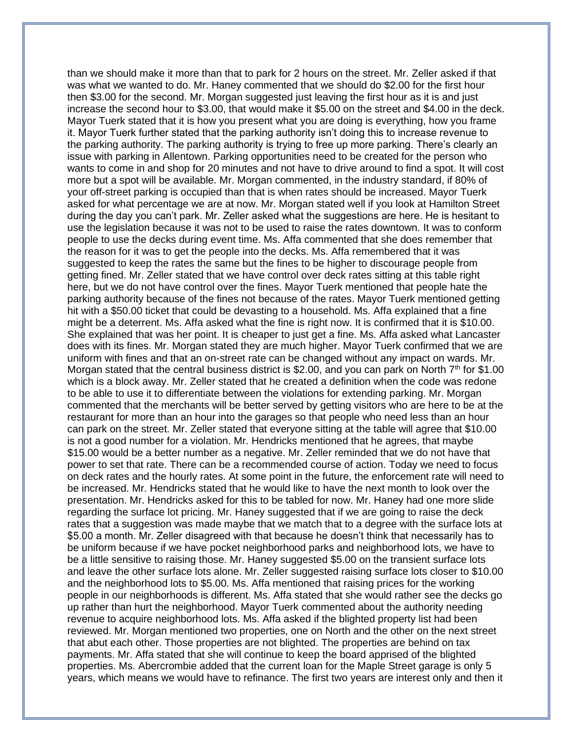than we should make it more than that to park for 2 hours on the street. Mr. Zeller asked if that was what we wanted to do. Mr. Haney commented that we should do \$2.00 for the first hour then \$3.00 for the second. Mr. Morgan suggested just leaving the first hour as it is and just increase the second hour to \$3.00, that would make it \$5.00 on the street and \$4.00 in the deck. Mayor Tuerk stated that it is how you present what you are doing is everything, how you frame it. Mayor Tuerk further stated that the parking authority isn't doing this to increase revenue to the parking authority. The parking authority is trying to free up more parking. There's clearly an issue with parking in Allentown. Parking opportunities need to be created for the person who wants to come in and shop for 20 minutes and not have to drive around to find a spot. It will cost more but a spot will be available. Mr. Morgan commented, in the industry standard, if 80% of your off-street parking is occupied than that is when rates should be increased. Mayor Tuerk asked for what percentage we are at now. Mr. Morgan stated well if you look at Hamilton Street during the day you can't park. Mr. Zeller asked what the suggestions are here. He is hesitant to use the legislation because it was not to be used to raise the rates downtown. It was to conform people to use the decks during event time. Ms. Affa commented that she does remember that the reason for it was to get the people into the decks. Ms. Affa remembered that it was suggested to keep the rates the same but the fines to be higher to discourage people from getting fined. Mr. Zeller stated that we have control over deck rates sitting at this table right here, but we do not have control over the fines. Mayor Tuerk mentioned that people hate the parking authority because of the fines not because of the rates. Mayor Tuerk mentioned getting hit with a \$50.00 ticket that could be devasting to a household. Ms. Affa explained that a fine might be a deterrent. Ms. Affa asked what the fine is right now. It is confirmed that it is \$10.00. She explained that was her point. It is cheaper to just get a fine. Ms. Affa asked what Lancaster does with its fines. Mr. Morgan stated they are much higher. Mayor Tuerk confirmed that we are uniform with fines and that an on-street rate can be changed without any impact on wards. Mr. Morgan stated that the central business district is \$2.00, and you can park on North  $7<sup>th</sup>$  for \$1.00 which is a block away. Mr. Zeller stated that he created a definition when the code was redone to be able to use it to differentiate between the violations for extending parking. Mr. Morgan commented that the merchants will be better served by getting visitors who are here to be at the restaurant for more than an hour into the garages so that people who need less than an hour can park on the street. Mr. Zeller stated that everyone sitting at the table will agree that \$10.00 is not a good number for a violation. Mr. Hendricks mentioned that he agrees, that maybe \$15.00 would be a better number as a negative. Mr. Zeller reminded that we do not have that power to set that rate. There can be a recommended course of action. Today we need to focus on deck rates and the hourly rates. At some point in the future, the enforcement rate will need to be increased. Mr. Hendricks stated that he would like to have the next month to look over the presentation. Mr. Hendricks asked for this to be tabled for now. Mr. Haney had one more slide regarding the surface lot pricing. Mr. Haney suggested that if we are going to raise the deck rates that a suggestion was made maybe that we match that to a degree with the surface lots at \$5.00 a month. Mr. Zeller disagreed with that because he doesn't think that necessarily has to be uniform because if we have pocket neighborhood parks and neighborhood lots, we have to be a little sensitive to raising those. Mr. Haney suggested \$5.00 on the transient surface lots and leave the other surface lots alone. Mr. Zeller suggested raising surface lots closer to \$10.00 and the neighborhood lots to \$5.00. Ms. Affa mentioned that raising prices for the working people in our neighborhoods is different. Ms. Affa stated that she would rather see the decks go up rather than hurt the neighborhood. Mayor Tuerk commented about the authority needing revenue to acquire neighborhood lots. Ms. Affa asked if the blighted property list had been reviewed. Mr. Morgan mentioned two properties, one on North and the other on the next street that abut each other. Those properties are not blighted. The properties are behind on tax payments. Mr. Affa stated that she will continue to keep the board apprised of the blighted properties. Ms. Abercrombie added that the current loan for the Maple Street garage is only 5 years, which means we would have to refinance. The first two years are interest only and then it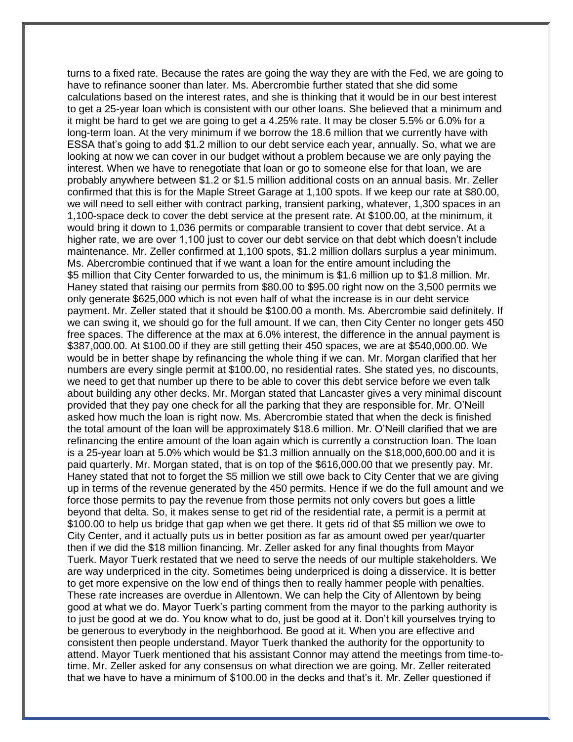turns to a fixed rate. Because the rates are going the way they are with the Fed, we are going to have to refinance sooner than later. Ms. Abercrombie further stated that she did some calculations based on the interest rates, and she is thinking that it would be in our best interest to get a 25-year loan which is consistent with our other loans. She believed that a minimum and it might be hard to get we are going to get a 4.25% rate. It may be closer 5.5% or 6.0% for a long-term loan. At the very minimum if we borrow the 18.6 million that we currently have with ESSA that's going to add \$1.2 million to our debt service each year, annually. So, what we are looking at now we can cover in our budget without a problem because we are only paying the interest. When we have to renegotiate that loan or go to someone else for that loan, we are probably anywhere between \$1.2 or \$1.5 million additional costs on an annual basis. Mr. Zeller confirmed that this is for the Maple Street Garage at 1,100 spots. If we keep our rate at \$80.00, we will need to sell either with contract parking, transient parking, whatever, 1,300 spaces in an 1,100-space deck to cover the debt service at the present rate. At \$100.00, at the minimum, it would bring it down to 1,036 permits or comparable transient to cover that debt service. At a higher rate, we are over 1,100 just to cover our debt service on that debt which doesn't include maintenance. Mr. Zeller confirmed at 1,100 spots, \$1.2 million dollars surplus a year minimum. Ms. Abercrombie continued that if we want a loan for the entire amount including the \$5 million that City Center forwarded to us, the minimum is \$1.6 million up to \$1.8 million. Mr. Haney stated that raising our permits from \$80.00 to \$95.00 right now on the 3,500 permits we only generate \$625,000 which is not even half of what the increase is in our debt service payment. Mr. Zeller stated that it should be \$100.00 a month. Ms. Abercrombie said definitely. If we can swing it, we should go for the full amount. If we can, then City Center no longer gets 450 free spaces. The difference at the max at 6.0% interest, the difference in the annual payment is \$387,000.00. At \$100.00 if they are still getting their 450 spaces, we are at \$540,000.00. We would be in better shape by refinancing the whole thing if we can. Mr. Morgan clarified that her numbers are every single permit at \$100.00, no residential rates. She stated yes, no discounts, we need to get that number up there to be able to cover this debt service before we even talk about building any other decks. Mr. Morgan stated that Lancaster gives a very minimal discount provided that they pay one check for all the parking that they are responsible for. Mr. O'Neill asked how much the loan is right now. Ms. Abercrombie stated that when the deck is finished the total amount of the loan will be approximately \$18.6 million. Mr. O'Neill clarified that we are refinancing the entire amount of the loan again which is currently a construction loan. The loan is a 25-year loan at 5.0% which would be \$1.3 million annually on the \$18,000,600.00 and it is paid quarterly. Mr. Morgan stated, that is on top of the \$616,000.00 that we presently pay. Mr. Haney stated that not to forget the \$5 million we still owe back to City Center that we are giving up in terms of the revenue generated by the 450 permits. Hence if we do the full amount and we force those permits to pay the revenue from those permits not only covers but goes a little beyond that delta. So, it makes sense to get rid of the residential rate, a permit is a permit at \$100.00 to help us bridge that gap when we get there. It gets rid of that \$5 million we owe to City Center, and it actually puts us in better position as far as amount owed per year/quarter then if we did the \$18 million financing. Mr. Zeller asked for any final thoughts from Mayor Tuerk. Mayor Tuerk restated that we need to serve the needs of our multiple stakeholders. We are way underpriced in the city. Sometimes being underpriced is doing a disservice. It is better to get more expensive on the low end of things then to really hammer people with penalties. These rate increases are overdue in Allentown. We can help the City of Allentown by being good at what we do. Mayor Tuerk's parting comment from the mayor to the parking authority is to just be good at we do. You know what to do, just be good at it. Don't kill yourselves trying to be generous to everybody in the neighborhood. Be good at it. When you are effective and consistent then people understand. Mayor Tuerk thanked the authority for the opportunity to attend. Mayor Tuerk mentioned that his assistant Connor may attend the meetings from time-totime. Mr. Zeller asked for any consensus on what direction we are going. Mr. Zeller reiterated that we have to have a minimum of \$100.00 in the decks and that's it. Mr. Zeller questioned if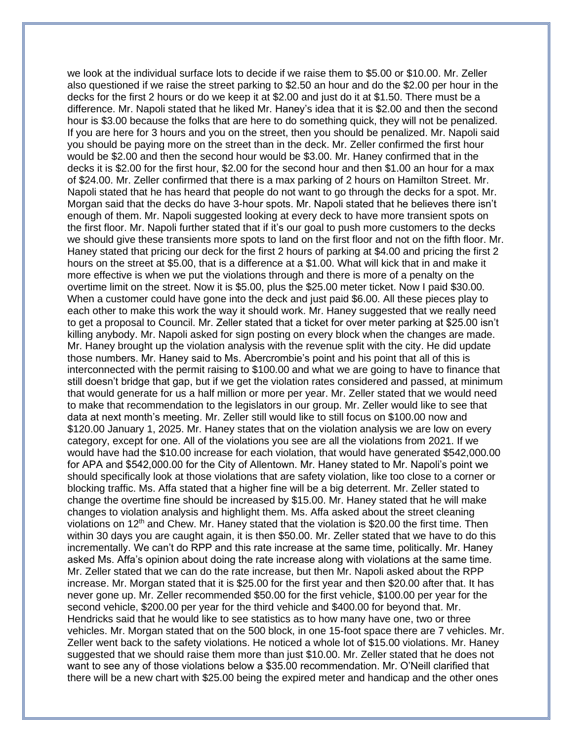we look at the individual surface lots to decide if we raise them to \$5.00 or \$10.00. Mr. Zeller also questioned if we raise the street parking to \$2.50 an hour and do the \$2.00 per hour in the decks for the first 2 hours or do we keep it at \$2.00 and just do it at \$1.50. There must be a difference. Mr. Napoli stated that he liked Mr. Haney's idea that it is \$2.00 and then the second hour is \$3.00 because the folks that are here to do something quick, they will not be penalized. If you are here for 3 hours and you on the street, then you should be penalized. Mr. Napoli said you should be paying more on the street than in the deck. Mr. Zeller confirmed the first hour would be \$2.00 and then the second hour would be \$3.00. Mr. Haney confirmed that in the decks it is \$2.00 for the first hour, \$2.00 for the second hour and then \$1.00 an hour for a max of \$24.00. Mr. Zeller confirmed that there is a max parking of 2 hours on Hamilton Street. Mr. Napoli stated that he has heard that people do not want to go through the decks for a spot. Mr. Morgan said that the decks do have 3-hour spots. Mr. Napoli stated that he believes there isn't enough of them. Mr. Napoli suggested looking at every deck to have more transient spots on the first floor. Mr. Napoli further stated that if it's our goal to push more customers to the decks we should give these transients more spots to land on the first floor and not on the fifth floor. Mr. Haney stated that pricing our deck for the first 2 hours of parking at \$4.00 and pricing the first 2 hours on the street at \$5.00, that is a difference at a \$1.00. What will kick that in and make it more effective is when we put the violations through and there is more of a penalty on the overtime limit on the street. Now it is \$5.00, plus the \$25.00 meter ticket. Now I paid \$30.00. When a customer could have gone into the deck and just paid \$6.00. All these pieces play to each other to make this work the way it should work. Mr. Haney suggested that we really need to get a proposal to Council. Mr. Zeller stated that a ticket for over meter parking at \$25.00 isn't killing anybody. Mr. Napoli asked for sign posting on every block when the changes are made. Mr. Haney brought up the violation analysis with the revenue split with the city. He did update those numbers. Mr. Haney said to Ms. Abercrombie's point and his point that all of this is interconnected with the permit raising to \$100.00 and what we are going to have to finance that still doesn't bridge that gap, but if we get the violation rates considered and passed, at minimum that would generate for us a half million or more per year. Mr. Zeller stated that we would need to make that recommendation to the legislators in our group. Mr. Zeller would like to see that data at next month's meeting. Mr. Zeller still would like to still focus on \$100.00 now and \$120.00 January 1, 2025. Mr. Haney states that on the violation analysis we are low on every category, except for one. All of the violations you see are all the violations from 2021. If we would have had the \$10.00 increase for each violation, that would have generated \$542,000.00 for APA and \$542,000.00 for the City of Allentown. Mr. Haney stated to Mr. Napoli's point we should specifically look at those violations that are safety violation, like too close to a corner or blocking traffic. Ms. Affa stated that a higher fine will be a big deterrent. Mr. Zeller stated to change the overtime fine should be increased by \$15.00. Mr. Haney stated that he will make changes to violation analysis and highlight them. Ms. Affa asked about the street cleaning violations on 12<sup>th</sup> and Chew. Mr. Haney stated that the violation is \$20.00 the first time. Then within 30 days you are caught again, it is then \$50.00. Mr. Zeller stated that we have to do this incrementally. We can't do RPP and this rate increase at the same time, politically. Mr. Haney asked Ms. Affa's opinion about doing the rate increase along with violations at the same time. Mr. Zeller stated that we can do the rate increase, but then Mr. Napoli asked about the RPP increase. Mr. Morgan stated that it is \$25.00 for the first year and then \$20.00 after that. It has never gone up. Mr. Zeller recommended \$50.00 for the first vehicle, \$100.00 per year for the second vehicle, \$200.00 per year for the third vehicle and \$400.00 for beyond that. Mr. Hendricks said that he would like to see statistics as to how many have one, two or three vehicles. Mr. Morgan stated that on the 500 block, in one 15-foot space there are 7 vehicles. Mr. Zeller went back to the safety violations. He noticed a whole lot of \$15.00 violations. Mr. Haney suggested that we should raise them more than just \$10.00. Mr. Zeller stated that he does not want to see any of those violations below a \$35.00 recommendation. Mr. O'Neill clarified that there will be a new chart with \$25.00 being the expired meter and handicap and the other ones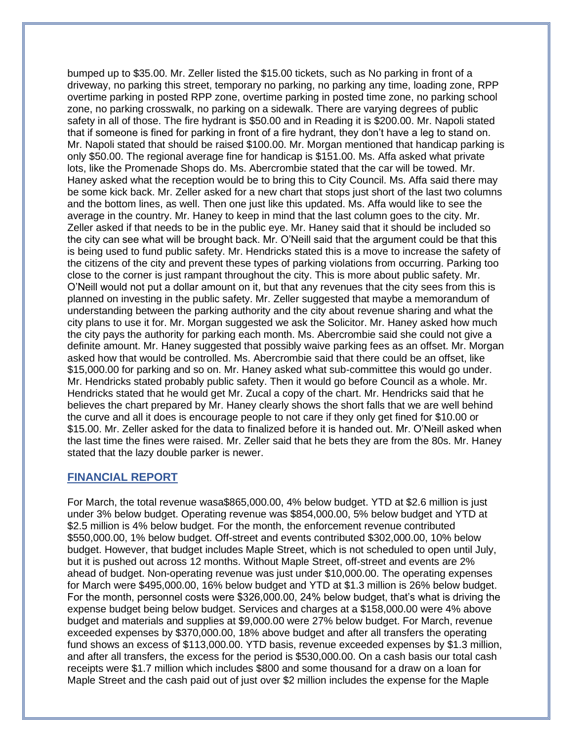bumped up to \$35.00. Mr. Zeller listed the \$15.00 tickets, such as No parking in front of a driveway, no parking this street, temporary no parking, no parking any time, loading zone, RPP overtime parking in posted RPP zone, overtime parking in posted time zone, no parking school zone, no parking crosswalk, no parking on a sidewalk. There are varying degrees of public safety in all of those. The fire hydrant is \$50.00 and in Reading it is \$200.00. Mr. Napoli stated that if someone is fined for parking in front of a fire hydrant, they don't have a leg to stand on. Mr. Napoli stated that should be raised \$100.00. Mr. Morgan mentioned that handicap parking is only \$50.00. The regional average fine for handicap is \$151.00. Ms. Affa asked what private lots, like the Promenade Shops do. Ms. Abercrombie stated that the car will be towed. Mr. Haney asked what the reception would be to bring this to City Council. Ms. Affa said there may be some kick back. Mr. Zeller asked for a new chart that stops just short of the last two columns and the bottom lines, as well. Then one just like this updated. Ms. Affa would like to see the average in the country. Mr. Haney to keep in mind that the last column goes to the city. Mr. Zeller asked if that needs to be in the public eye. Mr. Haney said that it should be included so the city can see what will be brought back. Mr. O'Neill said that the argument could be that this is being used to fund public safety. Mr. Hendricks stated this is a move to increase the safety of the citizens of the city and prevent these types of parking violations from occurring. Parking too close to the corner is just rampant throughout the city. This is more about public safety. Mr. O'Neill would not put a dollar amount on it, but that any revenues that the city sees from this is planned on investing in the public safety. Mr. Zeller suggested that maybe a memorandum of understanding between the parking authority and the city about revenue sharing and what the city plans to use it for. Mr. Morgan suggested we ask the Solicitor. Mr. Haney asked how much the city pays the authority for parking each month. Ms. Abercrombie said she could not give a definite amount. Mr. Haney suggested that possibly waive parking fees as an offset. Mr. Morgan asked how that would be controlled. Ms. Abercrombie said that there could be an offset, like \$15,000.00 for parking and so on. Mr. Haney asked what sub-committee this would go under. Mr. Hendricks stated probably public safety. Then it would go before Council as a whole. Mr. Hendricks stated that he would get Mr. Zucal a copy of the chart. Mr. Hendricks said that he believes the chart prepared by Mr. Haney clearly shows the short falls that we are well behind the curve and all it does is encourage people to not care if they only get fined for \$10.00 or \$15.00. Mr. Zeller asked for the data to finalized before it is handed out. Mr. O'Neill asked when the last time the fines were raised. Mr. Zeller said that he bets they are from the 80s. Mr. Haney stated that the lazy double parker is newer.

#### **FINANCIAL REPORT**

For March, the total revenue wasa\$865,000.00, 4% below budget. YTD at \$2.6 million is just under 3% below budget. Operating revenue was \$854,000.00, 5% below budget and YTD at \$2.5 million is 4% below budget. For the month, the enforcement revenue contributed \$550,000.00, 1% below budget. Off-street and events contributed \$302,000.00, 10% below budget. However, that budget includes Maple Street, which is not scheduled to open until July, but it is pushed out across 12 months. Without Maple Street, off-street and events are 2% ahead of budget. Non-operating revenue was just under \$10,000.00. The operating expenses for March were \$495,000.00, 16% below budget and YTD at \$1.3 million is 26% below budget. For the month, personnel costs were \$326,000.00, 24% below budget, that's what is driving the expense budget being below budget. Services and charges at a \$158,000.00 were 4% above budget and materials and supplies at \$9,000.00 were 27% below budget. For March, revenue exceeded expenses by \$370,000.00, 18% above budget and after all transfers the operating fund shows an excess of \$113,000.00. YTD basis, revenue exceeded expenses by \$1.3 million, and after all transfers, the excess for the period is \$530,000.00. On a cash basis our total cash receipts were \$1.7 million which includes \$800 and some thousand for a draw on a loan for Maple Street and the cash paid out of just over \$2 million includes the expense for the Maple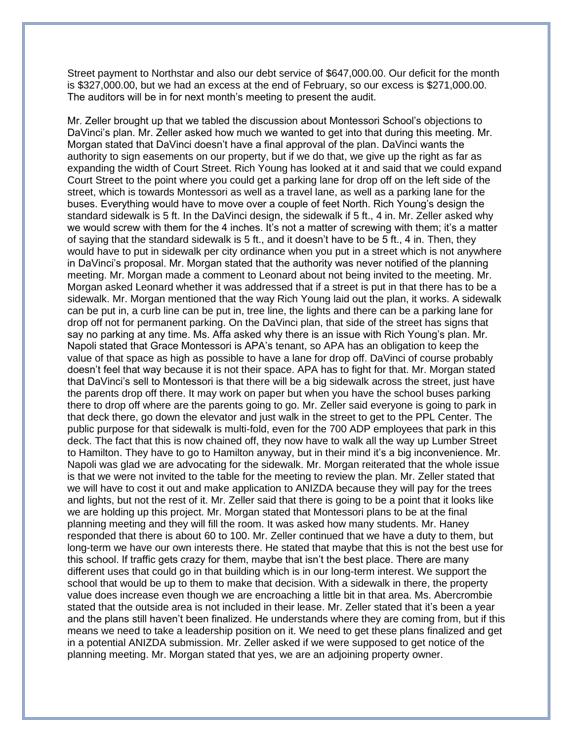Street payment to Northstar and also our debt service of \$647,000.00. Our deficit for the month is \$327,000.00, but we had an excess at the end of February, so our excess is \$271,000.00. The auditors will be in for next month's meeting to present the audit.

Mr. Zeller brought up that we tabled the discussion about Montessori School's objections to DaVinci's plan. Mr. Zeller asked how much we wanted to get into that during this meeting. Mr. Morgan stated that DaVinci doesn't have a final approval of the plan. DaVinci wants the authority to sign easements on our property, but if we do that, we give up the right as far as expanding the width of Court Street. Rich Young has looked at it and said that we could expand Court Street to the point where you could get a parking lane for drop off on the left side of the street, which is towards Montessori as well as a travel lane, as well as a parking lane for the buses. Everything would have to move over a couple of feet North. Rich Young's design the standard sidewalk is 5 ft. In the DaVinci design, the sidewalk if 5 ft., 4 in. Mr. Zeller asked why we would screw with them for the 4 inches. It's not a matter of screwing with them; it's a matter of saying that the standard sidewalk is 5 ft., and it doesn't have to be 5 ft., 4 in. Then, they would have to put in sidewalk per city ordinance when you put in a street which is not anywhere in DaVinci's proposal. Mr. Morgan stated that the authority was never notified of the planning meeting. Mr. Morgan made a comment to Leonard about not being invited to the meeting. Mr. Morgan asked Leonard whether it was addressed that if a street is put in that there has to be a sidewalk. Mr. Morgan mentioned that the way Rich Young laid out the plan, it works. A sidewalk can be put in, a curb line can be put in, tree line, the lights and there can be a parking lane for drop off not for permanent parking. On the DaVinci plan, that side of the street has signs that say no parking at any time. Ms. Affa asked why there is an issue with Rich Young's plan. Mr. Napoli stated that Grace Montessori is APA's tenant, so APA has an obligation to keep the value of that space as high as possible to have a lane for drop off. DaVinci of course probably doesn't feel that way because it is not their space. APA has to fight for that. Mr. Morgan stated that DaVinci's sell to Montessori is that there will be a big sidewalk across the street, just have the parents drop off there. It may work on paper but when you have the school buses parking there to drop off where are the parents going to go. Mr. Zeller said everyone is going to park in that deck there, go down the elevator and just walk in the street to get to the PPL Center. The public purpose for that sidewalk is multi-fold, even for the 700 ADP employees that park in this deck. The fact that this is now chained off, they now have to walk all the way up Lumber Street to Hamilton. They have to go to Hamilton anyway, but in their mind it's a big inconvenience. Mr. Napoli was glad we are advocating for the sidewalk. Mr. Morgan reiterated that the whole issue is that we were not invited to the table for the meeting to review the plan. Mr. Zeller stated that we will have to cost it out and make application to ANIZDA because they will pay for the trees and lights, but not the rest of it. Mr. Zeller said that there is going to be a point that it looks like we are holding up this project. Mr. Morgan stated that Montessori plans to be at the final planning meeting and they will fill the room. It was asked how many students. Mr. Haney responded that there is about 60 to 100. Mr. Zeller continued that we have a duty to them, but long-term we have our own interests there. He stated that maybe that this is not the best use for this school. If traffic gets crazy for them, maybe that isn't the best place. There are many different uses that could go in that building which is in our long-term interest. We support the school that would be up to them to make that decision. With a sidewalk in there, the property value does increase even though we are encroaching a little bit in that area. Ms. Abercrombie stated that the outside area is not included in their lease. Mr. Zeller stated that it's been a year and the plans still haven't been finalized. He understands where they are coming from, but if this means we need to take a leadership position on it. We need to get these plans finalized and get in a potential ANIZDA submission. Mr. Zeller asked if we were supposed to get notice of the planning meeting. Mr. Morgan stated that yes, we are an adjoining property owner.